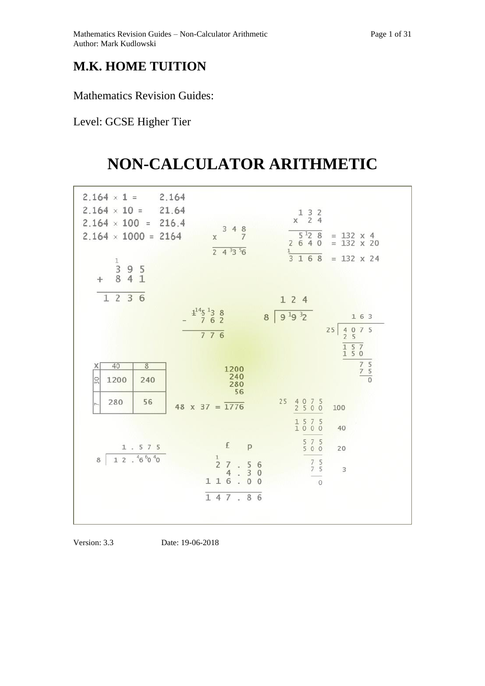## **M.K. HOME TUITION**

Mathematics Revision Guides:

## Level: GCSE Higher Tier

## **NON-CALCULATOR ARITHMETIC**

| $2.164 \times 1 =$<br>$2.164 \times 10 =$<br>$2.164 \times 100 = 216.4$<br>$2.164 \times 1000 = 2164$<br>$\frac{1}{3}$<br>9 5<br>8 4 1<br>$+$ | 2.164<br>21.64<br>348<br>$\overline{7}$<br>$\times$<br>$\overline{243356}$                                                                              | $\begin{array}{ccc} 1 & 3 & 2 \\ x & 2 & 4 \end{array}$<br>$5^{12}$ 8<br>$= 132 \times 4$<br>2640<br>$= 132 \times 20$<br>$\frac{1}{3}$<br>168<br>$= 132 \times 24$ |
|-----------------------------------------------------------------------------------------------------------------------------------------------|---------------------------------------------------------------------------------------------------------------------------------------------------------|---------------------------------------------------------------------------------------------------------------------------------------------------------------------|
| 1 2 3 6                                                                                                                                       |                                                                                                                                                         | 124                                                                                                                                                                 |
|                                                                                                                                               | $4^{14}5^{1}38$<br>762<br>776                                                                                                                           | $8 \ 9^{1}9^{3}2$<br>1 6 3<br>$\begin{array}{cc} 4 & 0 & 7 & 5 \\ 2 & 5 & & \end{array}$<br>25<br>$\overline{\begin{smallmatrix} 1&5&7\\1&5&0 \end{smallmatrix}}$   |
|                                                                                                                                               |                                                                                                                                                         |                                                                                                                                                                     |
| 40<br>$\overline{8}$<br>Χ<br>$\overline{50}$<br>1200<br>240                                                                                   | 1200<br>240<br>280<br>56                                                                                                                                | $\frac{7}{2}$ $\frac{5}{2}$ $\frac{5}{2}$                                                                                                                           |
| 56<br>280<br>$\overline{ }$                                                                                                                   | $48 \times 37 = 1776$                                                                                                                                   | 25<br>$\begin{array}{c} 4 & 0 & 7 & 5 \\ 2 & 5 & 0 & 0 \end{array}$<br>100                                                                                          |
|                                                                                                                                               |                                                                                                                                                         | 1 5 7 5<br>1000<br>40                                                                                                                                               |
| 1.575                                                                                                                                         | £<br>p                                                                                                                                                  | $575$<br>$500$<br>20                                                                                                                                                |
| $12.46\,{}^{6}0\,{}^{4}0$<br>$\,$ 8                                                                                                           | $\frac{1}{2}$<br>$\overline{7}$<br>$\begin{array}{c} 5 \\ 3 \\ 0 \end{array}$<br>$\sqrt{6}$<br>W.<br>$\overline{4}$<br>$\circ$<br>116<br>$\Omega$<br>V. | $\begin{array}{ccc} 7 & 5 \\ 7 & 5 \end{array}$<br>3<br>$\circ$                                                                                                     |
|                                                                                                                                               | 147.86                                                                                                                                                  |                                                                                                                                                                     |

Version: 3.3 Date: 19-06-2018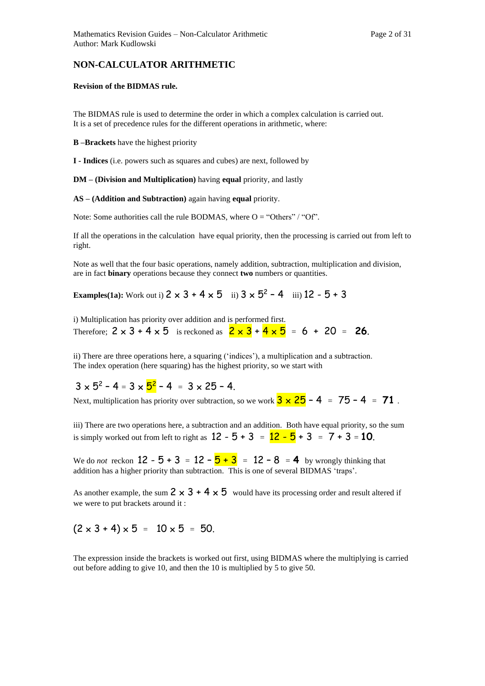#### **NON-CALCULATOR ARITHMETIC**

#### **Revision of the BIDMAS rule.**

The BIDMAS rule is used to determine the order in which a complex calculation is carried out. It is a set of precedence rules for the different operations in arithmetic, where:

#### **B –Brackets** have the highest priority

**I - Indices** (i.e. powers such as squares and cubes) are next, followed by

**DM – (Division and Multiplication)** having **equal** priority, and lastly

**AS – (Addition and Subtraction)** again having **equal** priority.

Note: Some authorities call the rule BODMAS, where  $O = "Others" / "Of".$ 

If all the operations in the calculation have equal priority, then the processing is carried out from left to right.

Note as well that the four basic operations, namely addition, subtraction, multiplication and division, are in fact **binary** operations because they connect **two** numbers or quantities.

**Examples(1a):** Work out i)  $2 \times 3 + 4 \times 5$  ii)  $3 \times 5^2 - 4$  iii)  $12 - 5 + 3$ 

i) Multiplication has priority over addition and is performed first. Therefore;  $2 \times 3 + 4 \times 5$  is reckoned as  $2 \times 3 + 4 \times 5 = 6 + 20 = 26$ .

ii) There are three operations here, a squaring ('indices'), a multiplication and a subtraction. The index operation (here squaring) has the highest priority, so we start with

 $3 \times 5^2 - 4 = 3 \times 5^2 - 4 = 3 \times 25 - 4$ .

Next, multiplication has priority over subtraction, so we work  $3 \times 25 - 4 = 75 - 4 = 71$ .

iii) There are two operations here, a subtraction and an addition. Both have equal priority, so the sum is simply worked out from left to right as  $12 - 5 + 3 = 12 - 5 + 3 = 7 + 3 = 10$ .

We do *not* reckon  $12 - 5 + 3 = 12 - 5 + 3 = 12 - 8 = 4$  by wrongly thinking that addition has a higher priority than subtraction. This is one of several BIDMAS 'traps'.

As another example, the sum  $2 \times 3 + 4 \times 5$  would have its processing order and result altered if we were to put brackets around it :

### $(2 \times 3 + 4) \times 5 = 10 \times 5 = 50$ .

The expression inside the brackets is worked out first, using BIDMAS where the multiplying is carried out before adding to give 10, and then the 10 is multiplied by 5 to give 50.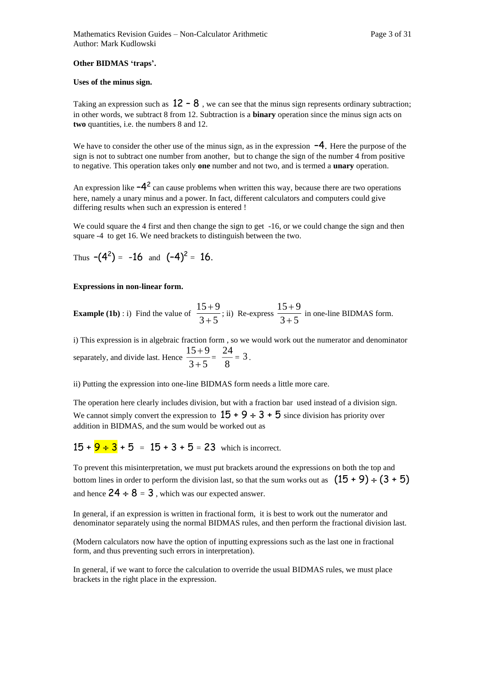#### **Other BIDMAS 'traps'.**

#### **Uses of the minus sign.**

Taking an expression such as  $12 - 8$ , we can see that the minus sign represents ordinary subtraction; in other words, we subtract 8 from 12. Subtraction is a **binary** operation since the minus sign acts on **two** quantities, i.e. the numbers 8 and 12.

We have to consider the other use of the minus sign, as in the expression  $-4$ . Here the purpose of the sign is not to subtract one number from another, but to change the sign of the number 4 from positive to negative. This operation takes only **one** number and not two, and is termed a **unary** operation.

An expression like  $-4^2$  can cause problems when written this way, because there are two operations here, namely a unary minus and a power. In fact, different calculators and computers could give differing results when such an expression is entered !

We could square the 4 first and then change the sign to get -16, or we could change the sign and then square -4 to get 16. We need brackets to distinguish between the two.

Thus 
$$
-(4^2) = -16
$$
 and  $(-4)^2 = 16$ .

#### **Expressions in non-linear form.**

**Example (1b)**: i) Find the value of  $\frac{24}{3+5}$ 15+9 +  $+9$ ; ii) Re-express  $\frac{15+9}{3+5}$ 15+9 +  $+9$  in one-line BIDMAS form.

i) This expression is in algebraic fraction form , so we would work out the numerator and denominator separately, and divide last. Hence  $\frac{124.6}{3+5}$ 15+9 +  $\frac{+9}{+5} = \frac{24}{8}$  $\frac{24}{3}$  = 3.

ii) Putting the expression into one-line BIDMAS form needs a little more care.

The operation here clearly includes division, but with a fraction bar used instead of a division sign. We cannot simply convert the expression to  $15 + 9 \div 3 + 5$  since division has priority over addition in BIDMAS, and the sum would be worked out as

 $15 + 9 \div 3 + 5 = 15 + 3 + 5 = 23$  which is incorrect.

To prevent this misinterpretation, we must put brackets around the expressions on both the top and bottom lines in order to perform the division last, so that the sum works out as  $(15 + 9) \div (3 + 5)$ and hence  $24 \div 8 = 3$ , which was our expected answer.

In general, if an expression is written in fractional form, it is best to work out the numerator and denominator separately using the normal BIDMAS rules, and then perform the fractional division last.

(Modern calculators now have the option of inputting expressions such as the last one in fractional form, and thus preventing such errors in interpretation).

In general, if we want to force the calculation to override the usual BIDMAS rules, we must place brackets in the right place in the expression.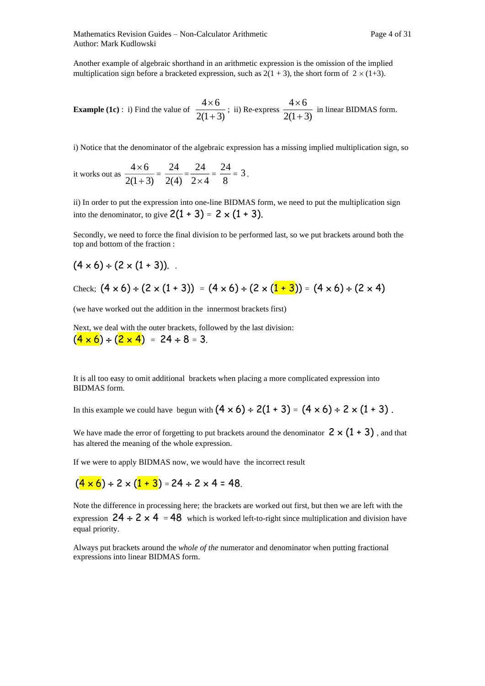Mathematics Revision Guides – Non-Calculator Arithmetic Page 4 of 31 Author: Mark Kudlowski

Another example of algebraic shorthand in an arithmetic expression is the omission of the implied multiplication sign before a bracketed expression, such as  $2(1 + 3)$ , the short form of  $2 \times (1+3)$ .

**Example (1c)**: i) Find the value of  $2(1+3)$  $4\times 6$ +  $\frac{\times 6}{\cos 3}$ ; ii) Re-express  $2(1+3)$  $4\times 6$ +  $\frac{\times 6}{\cos 6}$  in linear BIDMAS form.

i) Notice that the denominator of the algebraic expression has a missing implied multiplication sign, so

it works out as  $2(1+3)$  $4\times 6$ +  $\frac{\times 6}{\sqrt{2}}$  = 2(4)  $\frac{24}{2(4)} = \frac{24}{2 \times 4}$ 24  $\frac{1}{\times 4} = \frac{1}{8}$  $\frac{24}{3}$  = 3.

ii) In order to put the expression into one-line BIDMAS form, we need to put the multiplication sign into the denominator, to give  $2(1 + 3) = 2 \times (1 + 3)$ .

Secondly, we need to force the final division to be performed last, so we put brackets around both the top and bottom of the fraction :

 $(4 \times 6) \div (2 \times (1 + 3))$ .

Check; 
$$
(4 \times 6) \div (2 \times (1 + 3)) = (4 \times 6) \div (2 \times (1 + 3)) = (4 \times 6) \div (2 \times 4)
$$

(we have worked out the addition in the innermost brackets first)

Next, we deal with the outer brackets, followed by the last division:  $(4 \times 6) \div (2 \times 4) = 24 \div 8 = 3.$ 

It is all too easy to omit additional brackets when placing a more complicated expression into BIDMAS form.

In this example we could have begun with  $(4 \times 6) \div 2(1 + 3) = (4 \times 6) \div 2 \times (1 + 3)$ .

We have made the error of forgetting to put brackets around the denominator  $2 \times (1 + 3)$ , and that has altered the meaning of the whole expression.

If we were to apply BIDMAS now, we would have the incorrect result

## $(4 \times 6) \div 2 \times (1 + 3) = 24 \div 2 \times 4 = 48.$

Note the difference in processing here; the brackets are worked out first, but then we are left with the expression  $24 \div 2 \times 4 = 48$  which is worked left-to-right since multiplication and division have equal priority.

Always put brackets around the *whole of the* numerator and denominator when putting fractional expressions into linear BIDMAS form.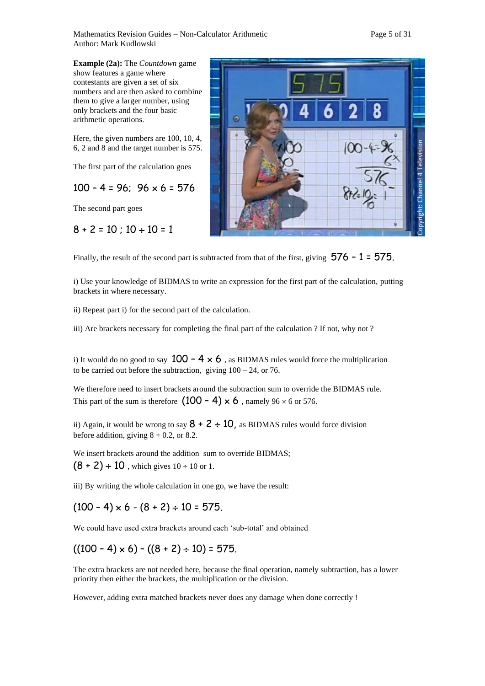Mathematics Revision Guides – Non-Calculator Arithmetic Page 5 of 31 Author: Mark Kudlowski

**Example (2a):** The *Countdown* game show features a game where contestants are given a set of six numbers and are then asked to combine them to give a larger number, using only brackets and the four basic arithmetic operations.

Here, the given numbers are 100, 10, 4, 6, 2 and 8 and the target number is 575.

The first part of the calculation goes

 $100 - 4 = 96$ ;  $96 \times 6 = 576$ 

The second part goes

$$
8 + 2 = 10
$$
;  $10 \div 10 = 1$ 



Finally, the result of the second part is subtracted from that of the first, giving  $576 - 1 = 575$ .

i) Use your knowledge of BIDMAS to write an expression for the first part of the calculation, putting brackets in where necessary.

ii) Repeat part i) for the second part of the calculation.

iii) Are brackets necessary for completing the final part of the calculation ? If not, why not ?

i) It would do no good to say  $100 - 4 \times 6$ , as BIDMAS rules would force the multiplication to be carried out before the subtraction, giving  $100 - 24$ , or 76.

We therefore need to insert brackets around the subtraction sum to override the BIDMAS rule. This part of the sum is therefore  $(100 - 4) \times 6$ , namely 96  $\times$  6 or 576.

ii) Again, it would be wrong to say  $8 + 2 \div 10$ , as BIDMAS rules would force division before addition, giving  $8 + 0.2$ , or 8.2.

We insert brackets around the addition sum to override BIDMAS;  $(8 + 2) \div 10$ , which gives  $10 \div 10$  or 1.

iii) By writing the whole calculation in one go, we have the result:

 $(100 - 4) \times 6 - (8 + 2) \div 10 = 575.$ 

We could have used extra brackets around each 'sub-total' and obtained

 $((100 - 4) \times 6) - ((8 + 2) \div 10) = 575.$ 

The extra brackets are not needed here, because the final operation, namely subtraction, has a lower priority then either the brackets, the multiplication or the division.

However, adding extra matched brackets never does any damage when done correctly !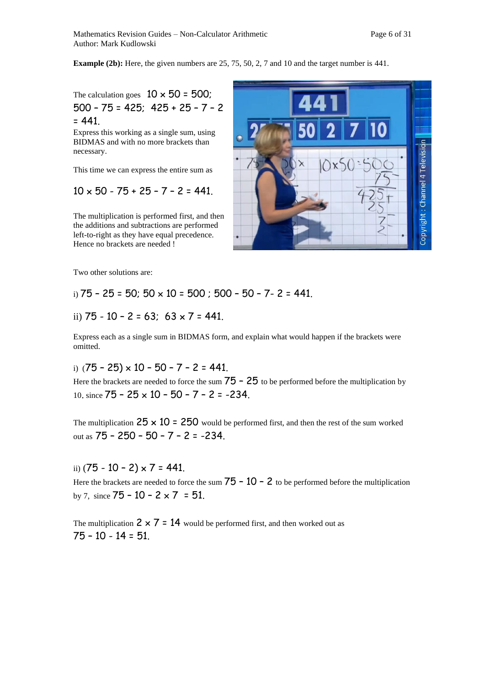**Example (2b):** Here, the given numbers are 25, 75, 50, 2, 7 and 10 and the target number is 441.

The calculation goes  $10 \times 50 = 500$ ; 500 – 75 = 425; 425 + 25 – 7 – 2  $= 441.$ 

Express this working as a single sum, using BIDMAS and with no more brackets than necessary.

This time we can express the entire sum as

$$
10 \times 50 - 75 + 25 - 7 - 2 = 441.
$$

The multiplication is performed first, and then the additions and subtractions are performed left-to-right as they have equal precedence. Hence no brackets are needed !



Two other solutions are:

i)  $75 - 25 = 50$ ;  $50 \times 10 = 500$ ;  $500 - 50 - 7 - 2 = 441$ .

ii) 
$$
75 - 10 - 2 = 63
$$
;  $63 \times 7 = 441$ .

Express each as a single sum in BIDMAS form, and explain what would happen if the brackets were omitted.

i)  $(75 - 25) \times 10 - 50 - 7 - 2 = 441$ .

Here the brackets are needed to force the sum  $75 - 25$  to be performed before the multiplication by 10. since  $75 - 25 \times 10 - 50 - 7 - 2 = -234$ .

The multiplication  $25 \times 10 = 250$  would be performed first, and then the rest of the sum worked out as 75 – 250 – 50 – 7 – 2 = -234.

ii)  $(75 - 10 - 2) \times 7 = 441$ .

Here the brackets are needed to force the sum  $75 - 10 - 2$  to be performed before the multiplication by 7, since  $75 - 10 - 2 \times 7 = 51$ .

The multiplication  $2 \times 7 = 14$  would be performed first, and then worked out as 75 – 10 - 14 = 51.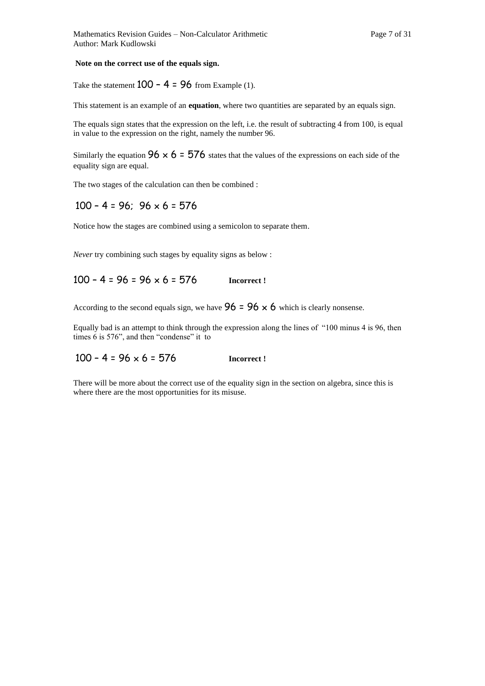#### **Note on the correct use of the equals sign.**

Take the statement  $100 - 4 = 96$  from Example (1).

This statement is an example of an **equation**, where two quantities are separated by an equals sign.

The equals sign states that the expression on the left, i.e. the result of subtracting 4 from 100, is equal in value to the expression on the right, namely the number 96.

Similarly the equation  $96 \times 6 = 576$  states that the values of the expressions on each side of the equality sign are equal.

The two stages of the calculation can then be combined :

#### $100 - 4 = 96$ ;  $96 \times 6 = 576$

Notice how the stages are combined using a semicolon to separate them.

*Never* try combining such stages by equality signs as below :

$$
100 - 4 = 96 = 96 \times 6 = 576
$$
 **Incorrect!**

According to the second equals sign, we have  $96 = 96 \times 6$  which is clearly nonsense.

Equally bad is an attempt to think through the expression along the lines of "100 minus 4 is 96, then times 6 is 576", and then "condense" it to

#### $100 - 4 = 96 \times 6 = 576$  **Incorrect !**

There will be more about the correct use of the equality sign in the section on algebra, since this is where there are the most opportunities for its misuse.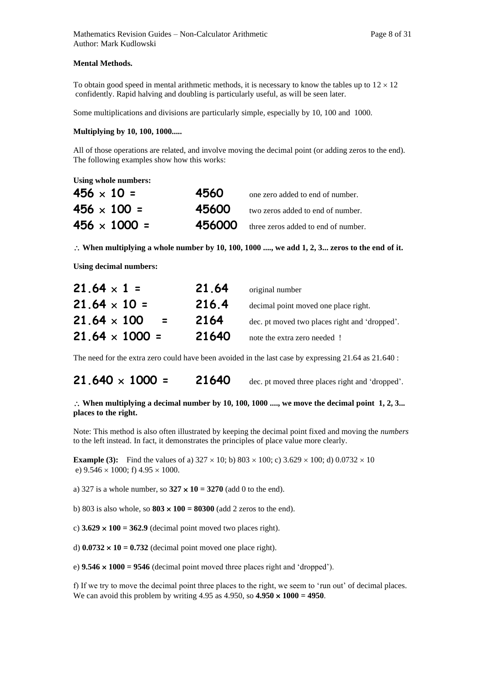#### **Mental Methods.**

To obtain good speed in mental arithmetic methods, it is necessary to know the tables up to  $12 \times 12$ confidently. Rapid halving and doubling is particularly useful, as will be seen later.

Some multiplications and divisions are particularly simple, especially by 10, 100 and 1000.

#### **Multiplying by 10, 100, 1000.....**

All of those operations are related, and involve moving the decimal point (or adding zeros to the end). The following examples show how this works:

**Using whole numbers:** 

| $456 \times 10 =$   | 4560  | one zero added to end of number.           |
|---------------------|-------|--------------------------------------------|
| $456 \times 100 =$  | 45600 | two zeros added to end of number.          |
| $456 \times 1000 =$ |       | 456000 three zeros added to end of number. |

 $\therefore$  When multiplying a whole number by 10, 100, 1000 ...., we add 1, 2, 3... zeros to the end of it.

**Using decimal numbers:** 

| $21.64 \times 1 =$                              | 21.64 | original number                               |
|-------------------------------------------------|-------|-----------------------------------------------|
| $21.64 \times 10 =$                             | 216.4 | decimal point moved one place right.          |
| $21.64 \times 100$<br>$\mathbf{r} = \mathbf{r}$ | 2164  | dec. pt moved two places right and 'dropped'. |
| $21.64 \times 1000 =$                           | 21640 | note the extra zero needed !                  |

The need for the extra zero could have been avoided in the last case by expressing 21.64 as 21.640 :

**21.640**  $\times$  **1000 = 21640** dec. pt moved three places right and 'dropped'.

#### $\therefore$  When multiplying a decimal number by 10, 100, 1000 ...., we move the decimal point 1, 2, 3... **places to the right.**

Note: This method is also often illustrated by keeping the decimal point fixed and moving the *numbers* to the left instead. In fact, it demonstrates the principles of place value more clearly.

**Example (3):** Find the values of a)  $327 \times 10$ ; b)  $803 \times 100$ ; c)  $3.629 \times 100$ ; d)  $0.0732 \times 10$ e)  $9.546 \times 1000$ ; f)  $4.95 \times 1000$ .

a) 327 is a whole number, so  $327 \times 10 = 3270$  (add 0 to the end).

b) 803 is also whole, so  $803 \times 100 = 80300$  (add 2 zeros to the end).

c)  $3.629 \times 100 = 362.9$  (decimal point moved two places right).

d)  $0.0732 \times 10 = 0.732$  (decimal point moved one place right).

e)  $9.546 \times 1000 = 9546$  (decimal point moved three places right and 'dropped').

f) If we try to move the decimal point three places to the right, we seem to 'run out' of decimal places. We can avoid this problem by writing 4.95 as  $4.950$ , so  $4.950 \times 1000 = 4950$ .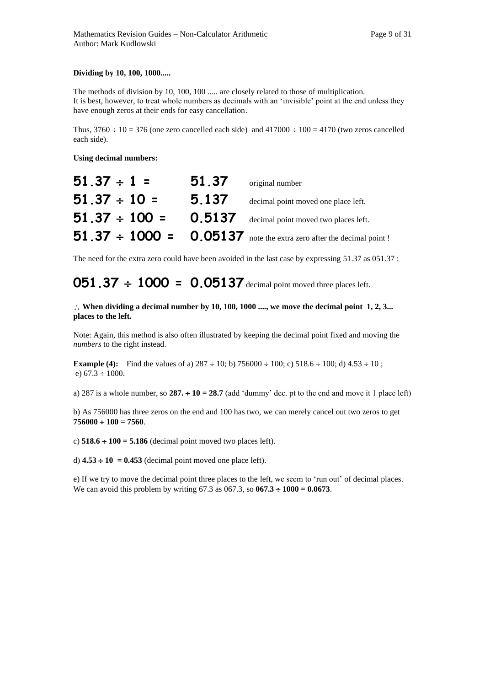#### **Dividing by 10, 100, 1000.....**

The methods of division by 10, 100, 100 ..... are closely related to those of multiplication. It is best, however, to treat whole numbers as decimals with an 'invisible' point at the end unless they have enough zeros at their ends for easy cancellation.

Thus,  $3760 \div 10 = 376$  (one zero cancelled each side) and  $417000 \div 100 = 4170$  (two zeros cancelled each side).

**Using decimal numbers:** 

| $51.37 \div 1 =$  | 51.37 | original number                                                           |
|-------------------|-------|---------------------------------------------------------------------------|
| $51.37 \div 10 =$ | 5.137 | decimal point moved one place left.                                       |
|                   |       | $51.37 \div 100 = 0.5137$ decimal point moved two places left.            |
|                   |       | 51.37 $\div$ 1000 = 0.05137 note the extra zero after the decimal point ! |

The need for the extra zero could have been avoided in the last case by expressing 51.37 as 051.37 :

**051.37 1000 = 0.05137** decimal point moved three places left.

#### **When dividing a decimal number by 10, 100, 1000 ...., we move the decimal point 1, 2, 3... places to the left.**

Note: Again, this method is also often illustrated by keeping the decimal point fixed and moving the *numbers* to the right instead.

**Example (4):** Find the values of a)  $287 \div 10$ ; b)  $756000 \div 100$ ; c)  $518.6 \div 100$ ; d)  $4.53 \div 10$ ; e)  $67.3 \div 1000$ .

a) 287 is a whole number, so  $287 \div 10 = 28.7$  (add 'dummy' dec. pt to the end and move it 1 place left)

b) As 756000 has three zeros on the end and 100 has two, we can merely cancel out two zeros to get  $756000 \div 100 = 7560.$ 

c)  $518.6 \div 100 = 5.186$  (decimal point moved two places left).

d)  $4.53 \div 10 = 0.453$  (decimal point moved one place left).

e) If we try to move the decimal point three places to the left, we seem to 'run out' of decimal places. We can avoid this problem by writing  $67.3$  as  $067.3$ , so  $067.3 \div 1000 = 0.0673$ .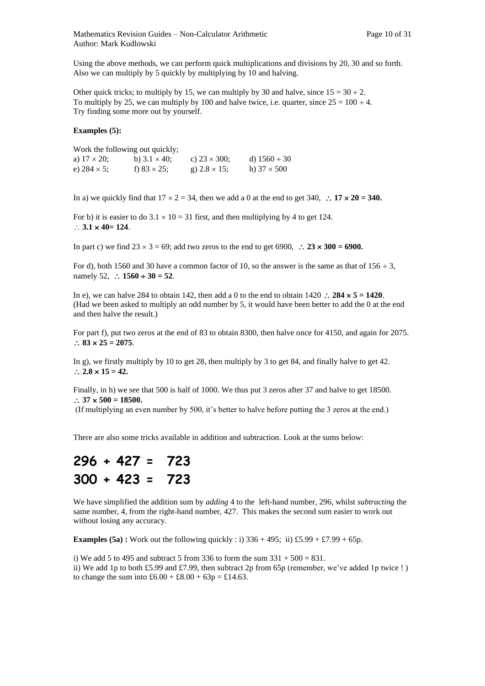Using the above methods, we can perform quick multiplications and divisions by 20, 30 and so forth. Also we can multiply by 5 quickly by multiplying by 10 and halving.

Other quick tricks; to multiply by 15, we can multiply by 30 and halve, since  $15 = 30 \div 2$ . To multiply by 25, we can multiply by 100 and halve twice, i.e. quarter, since  $25 = 100 \div 4$ . Try finding some more out by yourself.

#### **Examples (5):**

|                     | Work the following out quickly; |                      |                    |
|---------------------|---------------------------------|----------------------|--------------------|
| a) $17 \times 20$ ; | b) $3.1 \times 40$ :            | c) $23 \times 300$ ; | d) $1560 \div 30$  |
| e) $284 \times 5$ ; | f) $83 \times 25$ ;             | g) $2.8 \times 15$ ; | h) $37 \times 500$ |

In a) we quickly find that  $17 \times 2 = 34$ , then we add a 0 at the end to get 340,  $\therefore$  17  $\times$  20 = 340.

For b) it is easier to do  $3.1 \times 10 = 31$  first, and then multiplying by 4 to get 124.  $\therefore$  3.1  $\times$  40= 124.

In part c) we find  $23 \times 3 = 69$ ; add two zeros to the end to get  $6900$ ,  $\therefore$   $23 \times 300 = 6900$ .

For d), both 1560 and 30 have a common factor of 10, so the answer is the same as that of  $156 \div 3$ , namely 52,  $\therefore$  1560  $\div$  30 = 52.

In e), we can halve 284 to obtain 142, then add a 0 to the end to obtain  $1420$   $\therefore$  284  $\times$  5 = 1420. (Had we been asked to multiply an odd number by 5, it would have been better to add the 0 at the end and then halve the result.)

For part f), put two zeros at the end of 83 to obtain 8300, then halve once for 4150, and again for 2075.  $\therefore$  83  $\times$  25 = 2075.

In g), we firstly multiply by 10 to get 28, then multiply by 3 to get 84, and finally halve to get 42.  $\therefore$  2.8  $\times$  15 = 42.

Finally, in h) we see that 500 is half of 1000. We thus put 3 zeros after 37 and halve to get 18500.  $\therefore$  37  $\times$  500 = 18500.

(If multiplying an even number by 500, it's better to halve before putting the 3 zeros at the end.)

There are also some tricks available in addition and subtraction. Look at the sums below:

$$
296 + 427 = 723
$$
  

$$
300 + 423 = 723
$$

We have simplified the addition sum by *adding* 4 to the left-hand number, 296, whilst *subtracting* the same number, 4, from the right-hand number, 427. This makes the second sum easier to work out without losing any accuracy.

**Examples (5a) :** Work out the following quickly : i)  $336 + 495$ ; ii) £5.99 + £7.99 + 65p.

i) We add 5 to 495 and subtract 5 from 336 to form the sum  $331 + 500 = 831$ .

ii) We add 1p to both £5.99 and £7.99, then subtract 2p from 65p (remember, we've added 1p twice ! ) to change the sum into  $£6.00 + £8.00 + 63p = £14.63$ .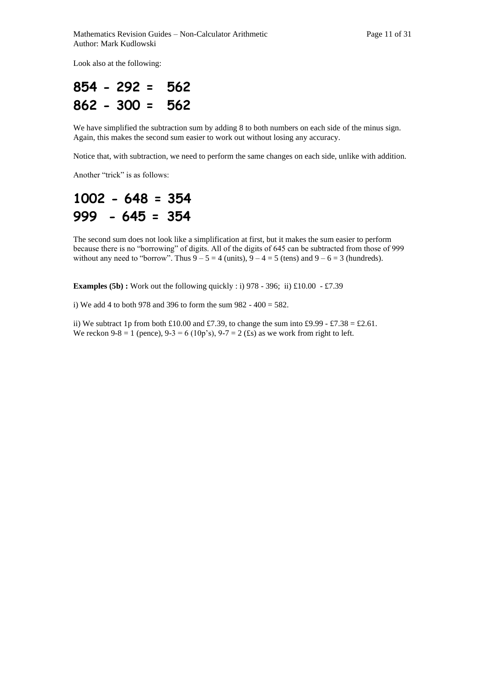Look also at the following:

$$
854 - 292 = 562
$$
  

$$
862 - 300 = 562
$$

We have simplified the subtraction sum by adding 8 to both numbers on each side of the minus sign. Again, this makes the second sum easier to work out without losing any accuracy.

Notice that, with subtraction, we need to perform the same changes on each side, unlike with addition.

Another "trick" is as follows:

## **1002 - 648 = 354 999 - 645 = 354**

The second sum does not look like a simplification at first, but it makes the sum easier to perform because there is no "borrowing" of digits. All of the digits of 645 can be subtracted from those of 999 without any need to "borrow". Thus  $9 - 5 = 4$  (units),  $9 - 4 = 5$  (tens) and  $9 - 6 = 3$  (hundreds).

**Examples (5b) :** Work out the following quickly : i) 978 - 396; ii) £10.00 - £7.39

i) We add 4 to both 978 and 396 to form the sum 982 - 400 = 582.

ii) We subtract 1p from both £10.00 and £7.39, to change the sum into £9.99 - £7.38 = £2.61. We reckon 9-8 = 1 (pence),  $9-3 = 6$  (10p's),  $9-7 = 2$  (£s) as we work from right to left.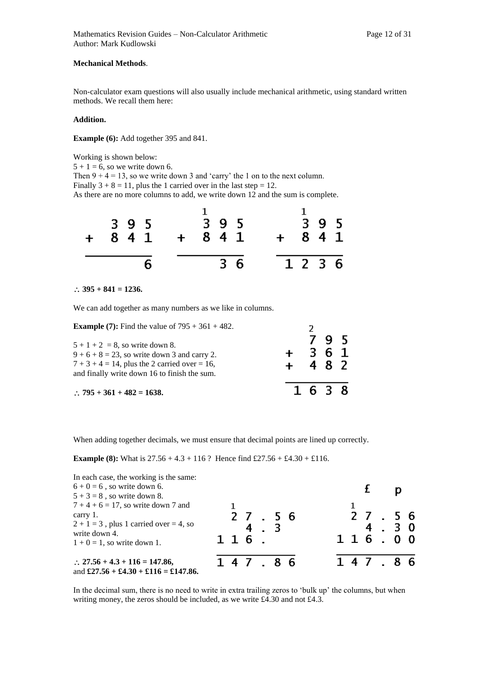#### **Mechanical Methods**.

Non-calculator exam questions will also usually include mechanical arithmetic, using standard written methods. We recall them here:

#### **Addition.**

**Example (6):** Add together 395 and 841.

Working is shown below:

 $5 + 1 = 6$ , so we write down 6.

Then  $9 + 4 = 13$ , so we write down 3 and 'carry' the 1 on to the next column.

Finally  $3 + 8 = 11$ , plus the 1 carried over in the last step = 12.

As there are no more columns to add, we write down 12 and the sum is complete.

| 841 | 395 |  | 395<br>$+$ 841 |  | $+ 841$ | 395  |  |
|-----|-----|--|----------------|--|---------|------|--|
|     |     |  | $3\,6$         |  |         | 1236 |  |

 $\therefore$  395 + 841 = 1236.

We can add together as many numbers as we like in columns.

**Example (7):** Find the value of  $795 + 361 + 482$ .

| <b>Example (7):</b> Find the value of $795 + 361 + 482$ .<br>$5 + 1 + 2 = 8$ , so write down 8.<br>$9+6+8=23$ , so write down 3 and carry 2.<br>$7 + 3 + 4 = 14$ , plus the 2 carried over = 16,<br>and finally write down 16 to finish the sum. | $+ 482$ | 361     | 795 |  |
|--------------------------------------------------------------------------------------------------------------------------------------------------------------------------------------------------------------------------------------------------|---------|---------|-----|--|
| $\therefore$ 795 + 361 + 482 = 1638.                                                                                                                                                                                                             |         | 1 6 3 8 |     |  |

When adding together decimals, we must ensure that decimal points are lined up correctly.

**Example (8):** What is  $27.56 + 4.3 + 116$ ? Hence find £27.56 + £4.30 + £116.

| In each case, the working is the same:<br>$6 + 0 = 6$ , so write down 6.<br>$5 + 3 = 8$ , so write down 8.                                         |  |                      |  |  |  |                 |      |  |
|----------------------------------------------------------------------------------------------------------------------------------------------------|--|----------------------|--|--|--|-----------------|------|--|
| $7 + 4 + 6 = 17$ , so write down 7 and<br>carry 1.<br>$2 + 1 = 3$ , plus 1 carried over = 4, so<br>write down 4.<br>$1 + 0 = 1$ , so write down 1. |  | 2 7 . 5 6<br>$116$ . |  |  |  | 27.56<br>116.00 | 4.30 |  |
| $\therefore$ 27.56 + 4.3 + 116 = 147.86,<br>and $\pounds 27.56 + \pounds 4.30 + \pounds 116 = \pounds 147.86$ .                                    |  | 147.86               |  |  |  | 147.86          |      |  |

In the decimal sum, there is no need to write in extra trailing zeros to 'bulk up' the columns, but when writing money, the zeros should be included, as we write £4.30 and not £4.3.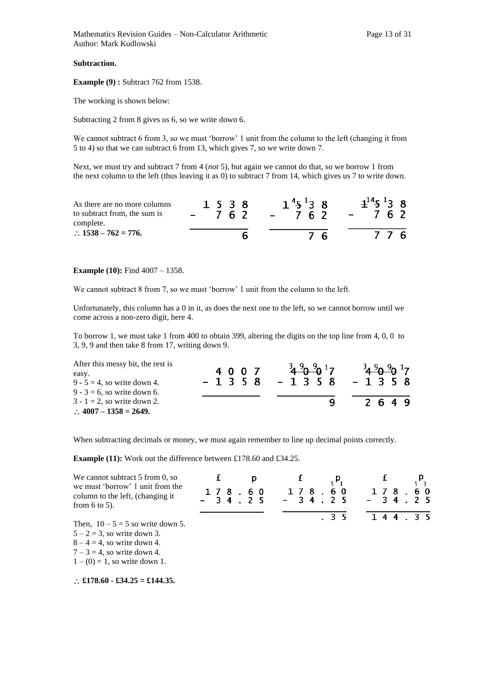#### **Subtraction.**

**Example (9) :** Subtract 762 from 1538.

The working is shown below:

Subtracting 2 from 8 gives us 6, so we write down 6.

We cannot subtract 6 from 3, so we must 'borrow' 1 unit from the column to the left (changing it from 5 to 4) so that we can subtract 6 from 13, which gives 7, so we write down 7.

Next, we must try and subtract 7 from 4 (*not* 5), but again we cannot do that, so we borrow 1 from the next column to the left (thus leaving it as 0) to subtract 7 from 14, which gives us 7 to write down.

| As there are no more columns<br>to subtract from, the sum is<br>complete. | 1 5 3 8<br>762 | $1^{4}5^{1}38$<br>762 | $4^{14}5^{1}38$<br>762 |
|---------------------------------------------------------------------------|----------------|-----------------------|------------------------|
| $\therefore$ 1538 – 762 = 776.                                            |                | 76                    | 776                    |

#### **Example (10):** Find 4007 – 1358.

We cannot subtract 8 from 7, so we must 'borrow' 1 unit from the column to the left.

Unfortunately, this column has a 0 in it, as does the next one to the left, so we cannot borrow until we come across a non-zero digit, here 4.

To borrow 1, we must take 1 from 400 to obtain 399, altering the digits on the top line from 4, 0, 0 to 3, 9, 9 and then take 8 from 17, writing down 9.

| After this messy bit, the rest is |         | $^{3}$ 4 $^{9}$ 0 $^{9}$ 17 | 34.909017 |
|-----------------------------------|---------|-----------------------------|-----------|
| easy.                             | 4 0 0 7 |                             |           |
| $9 - 5 = 4$ , so write down 4.    | $-1358$ | -1358 -1358                 |           |
| $9 - 3 = 6$ , so write down 6.    |         |                             |           |
| $3 - 1 = 2$ , so write down 2.    |         | Q                           | 2 6 4 9   |
| $\therefore$ 4007 - 1358 = 2649.  |         |                             |           |

When subtracting decimals or money, we must again remember to line up decimal points correctly.

**Example (11):** Work out the difference between £178.60 and £34.25.

| We cannot subtract 5 from 0, so                                                            | р |                                           |     |       |       |      |  |
|--------------------------------------------------------------------------------------------|---|-------------------------------------------|-----|-------|-------|------|--|
| we must 'borrow' 1 unit from the<br>column to the left, (changing it<br>from $6$ to $5$ ). |   | 178.60 178.60<br>$-34.25 - 34.25 - 34.25$ |     | 1 7 8 |       | . 60 |  |
|                                                                                            |   |                                           | .35 |       | 1 4 4 | .35  |  |
| Then, $10-5=5$ so write down 5.                                                            |   |                                           |     |       |       |      |  |
| $5 - 2 = 3$ , so write down 3.                                                             |   |                                           |     |       |       |      |  |
| $8 - 4 = 4$ , so write down 4.                                                             |   |                                           |     |       |       |      |  |
| $7-3=4$ , so write down 4.                                                                 |   |                                           |     |       |       |      |  |
| $1 - (0) = 1$ , so write down 1.                                                           |   |                                           |     |       |       |      |  |
| $\therefore$ £178.60 - £34.25 = £144.35.                                                   |   |                                           |     |       |       |      |  |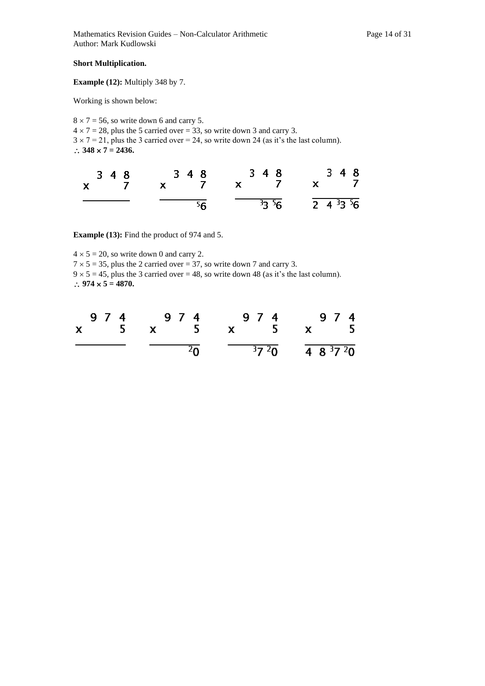#### **Short Multiplication.**

**Example (12):** Multiply 348 by 7.

Working is shown below:

 $8 \times 7 = 56$ , so write down 6 and carry 5.  $4 \times 7 = 28$ , plus the 5 carried over = 33, so write down 3 and carry 3.  $3 \times 7 = 21$ , plus the 3 carried over = 24, so write down 24 (as it's the last column).  $\therefore$  348  $\times$  7 = 2436.

| 3 4 8<br>$x \overline{7}$ | 3 4 8           | 3 4 8<br>x 7 x 7 x 7             | 3 4 8 |
|---------------------------|-----------------|----------------------------------|-------|
|                           | $\overline{56}$ | $\frac{33}{56}$ $\frac{133}{56}$ |       |

**Example (13):** Find the product of 974 and 5.

 $4 \times 5 = 20$ , so write down 0 and carry 2.  $7 \times 5 = 35$ , plus the 2 carried over = 37, so write down 7 and carry 3.  $9 \times 5 = 45$ , plus the 3 carried over = 48, so write down 48 (as it's the last column).  $\therefore$  974  $\times$  5 = 4870.

| 974 974 974 974<br>x 5 x 5 x 5 x 5 |                                                    |  |
|------------------------------------|----------------------------------------------------|--|
|                                    | $\frac{1}{20}$ $\frac{3720}{1}$ $\frac{483720}{1}$ |  |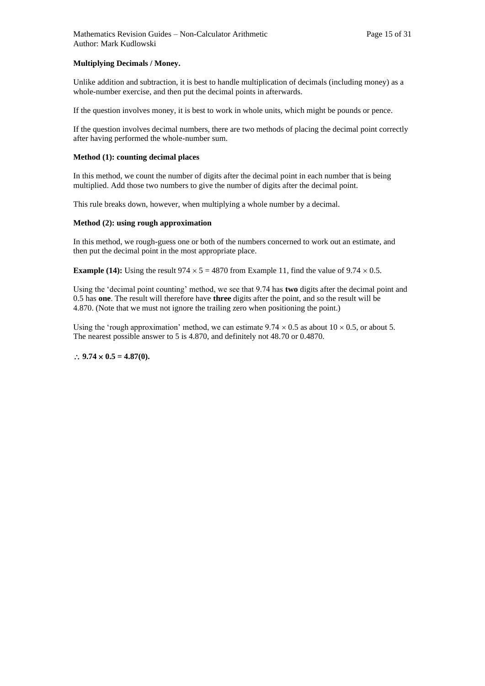#### **Multiplying Decimals / Money.**

Unlike addition and subtraction, it is best to handle multiplication of decimals (including money) as a whole-number exercise, and then put the decimal points in afterwards.

If the question involves money, it is best to work in whole units, which might be pounds or pence.

If the question involves decimal numbers, there are two methods of placing the decimal point correctly after having performed the whole-number sum.

#### **Method (1): counting decimal places**

In this method, we count the number of digits after the decimal point in each number that is being multiplied. Add those two numbers to give the number of digits after the decimal point.

This rule breaks down, however, when multiplying a whole number by a decimal.

#### **Method (2): using rough approximation**

In this method, we rough-guess one or both of the numbers concerned to work out an estimate, and then put the decimal point in the most appropriate place.

**Example (14):** Using the result  $974 \times 5 = 4870$  from Example 11, find the value of  $9.74 \times 0.5$ .

Using the 'decimal point counting' method, we see that 9.74 has **two** digits after the decimal point and 0.5 has **one**. The result will therefore have **three** digits after the point, and so the result will be 4.870. (Note that we must not ignore the trailing zero when positioning the point.)

Using the 'rough approximation' method, we can estimate  $9.74 \times 0.5$  as about  $10 \times 0.5$ , or about 5. The nearest possible answer to 5 is 4.870, and definitely not 48.70 or 0.4870.

#### $\therefore$  9.74  $\times$  0.5 = 4.87(0).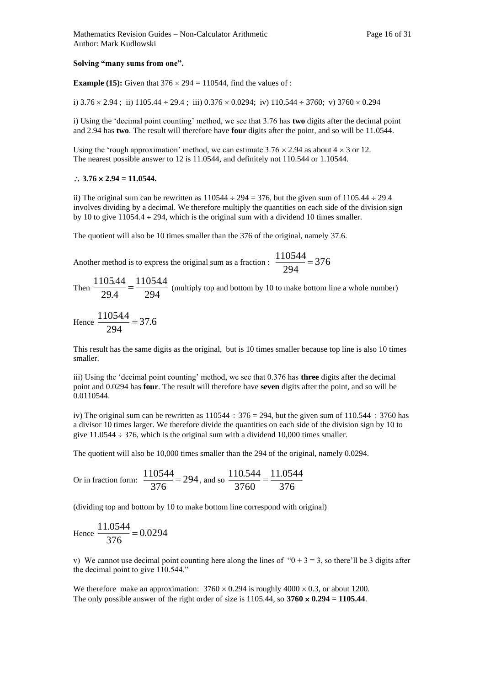#### **Solving "many sums from one".**

**Example (15):** Given that  $376 \times 294 = 110544$ , find the values of :

i)  $3.76 \times 2.94$ ; ii)  $1105.44 \div 29.4$ ; iii)  $0.376 \times 0.0294$ ; iv)  $110.544 \div 3760$ ; v)  $3760 \times 0.294$ 

i) Using the 'decimal point counting' method, we see that 3.76 has **two** digits after the decimal point and 2.94 has **two**. The result will therefore have **four** digits after the point, and so will be 11.0544.

Using the 'rough approximation' method, we can estimate  $3.76 \times 2.94$  as about  $4 \times 3$  or 12. The nearest possible answer to 12 is 11.0544, and definitely not 110.544 or 1.10544.

#### $\therefore$  3.76  $\times$  2.94 = 11.0544.

ii) The original sum can be rewritten as  $110544 \div 294 = 376$ , but the given sum of  $1105.44 \div 29.4$ involves dividing by a decimal. We therefore multiply the quantities on each side of the division sign by 10 to give  $11054.4 \div 294$ , which is the original sum with a dividend 10 times smaller.

The quotient will also be 10 times smaller than the 376 of the original, namely 37.6.

Another method is to express the original sum as a fraction :  $\frac{1788 \text{ m}}{284 \text{ m}} = 376$ 294  $\frac{110544}{ } =$ 

Then  $\frac{128441}{294} = \frac{12884}{294}$ 11054.4 29.4  $\frac{1105.44}{2004} = \frac{11054.4}{2004}$  (multiply top and bottom by 10 to make bottom line a whole number)

Hence  $\frac{1186 \text{ m/s}}{284 \text{ m}} = 37.6$ 294  $\frac{11054.4}{ } =$ 

This result has the same digits as the original, but is 10 times smaller because top line is also 10 times smaller.

iii) Using the 'decimal point counting' method, we see that 0.376 has **three** digits after the decimal point and 0.0294 has **four**. The result will therefore have **seven** digits after the point, and so will be 0.0110544.

iv) The original sum can be rewritten as  $110544 \div 376 = 294$ , but the given sum of  $110.544 \div 3760$  has a divisor 10 times larger. We therefore divide the quantities on each side of the division sign by 10 to give  $11.0544 \div 376$ , which is the original sum with a dividend 10,000 times smaller.

The quotient will also be 10,000 times smaller than the 294 of the original, namely 0.0294.

Or in fraction form: 
$$
\frac{110544}{376} = 294
$$
, and so  $\frac{110.544}{3760} = \frac{11.0544}{376}$ 

(dividing top and bottom by 10 to make bottom line correspond with original)

Hence 
$$
\frac{11.0544}{376} = 0.0294
$$

v) We cannot use decimal point counting here along the lines of " $0 + 3 = 3$ , so there'll be 3 digits after the decimal point to give 110.544."

We therefore make an approximation:  $3760 \times 0.294$  is roughly  $4000 \times 0.3$ , or about 1200. The only possible answer of the right order of size is  $1105.44$ , so  $3760 \times 0.294 = 1105.44$ .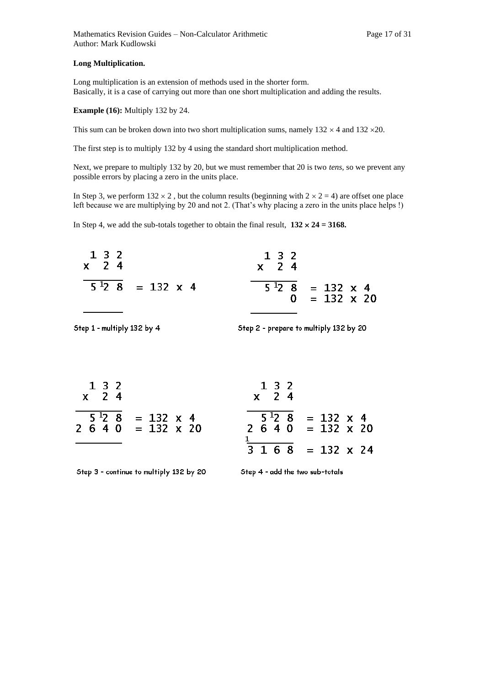#### **Long Multiplication.**

Long multiplication is an extension of methods used in the shorter form. Basically, it is a case of carrying out more than one short multiplication and adding the results.

**Example (16):** Multiply 132 by 24.

This sum can be broken down into two short multiplication sums, namely  $132 \times 4$  and  $132 \times 20$ .

The first step is to multiply 132 by 4 using the standard short multiplication method.

Next, we prepare to multiply 132 by 20, but we must remember that 20 is two *tens,* so we prevent any possible errors by placing a zero in the units place.

In Step 3, we perform  $132 \times 2$ , but the column results (beginning with  $2 \times 2 = 4$ ) are offset one place left because we are multiplying by 20 and not 2. (That's why placing a zero in the units place helps !)

In Step 4, we add the sub-totals together to obtain the final result,  $132 \times 24 = 3168$ .



Step 1 - multiply 132 by 4

Step 2 - prepare to multiply 132 by 20

| 132<br>$x \quad 24$ |                                                  | $1 \; 3 \; 2$<br>$x \quad 24$ |                                                  |
|---------------------|--------------------------------------------------|-------------------------------|--------------------------------------------------|
|                     | $5^{12}$ 8 = 132 x 4<br>$2\,6\,4\,0\,132\,x\,20$ |                               | $5^{12}$ 8 = 132 x 4<br>$2\,6\,4\,0\,132\,x\,20$ |
|                     |                                                  |                               | $3 \t1 \t6 \t8 = 132 \t x \t24$                  |

Step 3 - continue to multiply 132 by 20

Step 4 - add the two sub-totals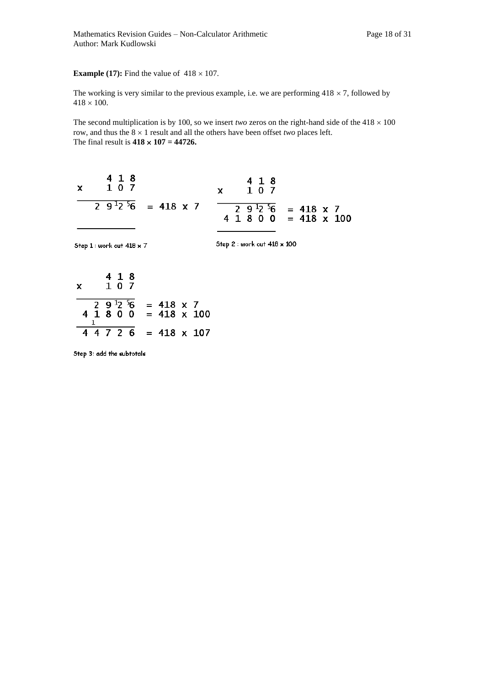#### **Example (17):** Find the value of  $418 \times 107$ .

The working is very similar to the previous example, i.e. we are performing  $418 \times 7$ , followed by  $418 \times 100$ .

The second multiplication is by 100, so we insert *two* zeros on the right-hand side of the  $418 \times 100$ row, and thus the  $8 \times 1$  result and all the others have been offset *two* places left. The final result is  $418 \times 107 = 44726$ .

$$
\frac{29^{12}^{5}6}{41800} = 418 \times 7
$$
  

$$
\frac{41800}{44726} = 418 \times 100
$$

Step 3: add the subtotals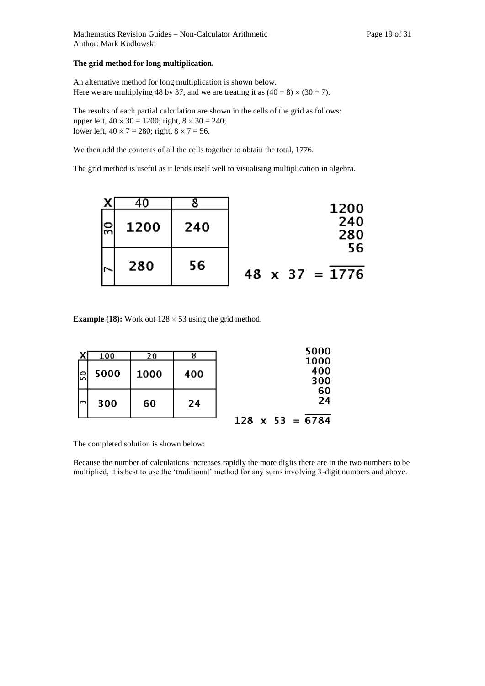#### **The grid method for long multiplication.**

An alternative method for long multiplication is shown below. Here we are multiplying 48 by 37, and we are treating it as  $(40 + 8) \times (30 + 7)$ .

The results of each partial calculation are shown in the cells of the grid as follows: upper left,  $40 \times 30 = 1200$ ; right,  $8 \times 30 = 240$ ; lower left,  $40 \times 7 = 280$ ; right,  $8 \times 7 = 56$ .

We then add the contents of all the cells together to obtain the total, 1776.

The grid method is useful as it lends itself well to visualising multiplication in algebra.

|      |      |     | 1200                        |
|------|------|-----|-----------------------------|
| င္ကု | 1200 | 240 | 240<br>280                  |
|      | 280  | 56  | 56<br>$48 \times 37 = 1776$ |

**Example (18):** Work out  $128 \times 53$  using the grid method.

|      | 100  | 20   |     | 5000                 |
|------|------|------|-----|----------------------|
| င္ကြ | 5000 | 1000 | 400 | 1000<br>400<br>300   |
| lm.  | 300  | 60   | 24  | 60<br>24             |
|      |      |      |     | $= 6784$<br>128<br>x |

The completed solution is shown below:

Because the number of calculations increases rapidly the more digits there are in the two numbers to be multiplied, it is best to use the 'traditional' method for any sums involving 3-digit numbers and above.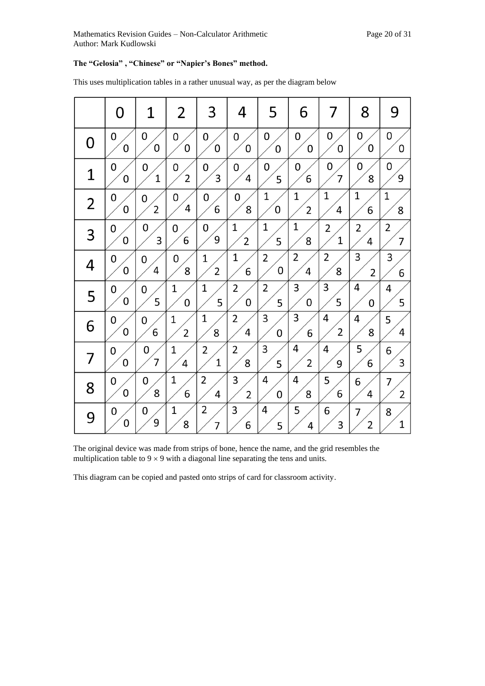### **The "Gelosia" , "Chinese" or "Napier's Bones" method.**

|                | 0           | 1              | 2              | 3              | 4              | 5 | 6              | 7              | 8                       | 9 |
|----------------|-------------|----------------|----------------|----------------|----------------|---|----------------|----------------|-------------------------|---|
| 0              | 0           | 0              | 0              | 0              | 0              | 0 | 0              | 0              | 0                       | 0 |
|                | 0           | 0              | 0              | 0              | 0              | 0 | 0              | 0              | 0                       | 0 |
| 1              | 0           | 0              | 0              | 0              | 0              | 0 | 0              | 0              | 0                       | 0 |
|                | 0           | 1              | $\overline{2}$ | 3              | 4              | 5 | 6              | 7              | 8                       | 9 |
| $\overline{2}$ | 0           | 0              | 0              | 0              | 0              | 1 | $\overline{1}$ | $\overline{1}$ | 1                       | 1 |
|                | 0           | $\overline{c}$ | 4              | 6              | 8              | 0 | 2              | 4              | 6                       | 8 |
| 3              | 0           | 0              | 0              | 0              | 1              | 1 | 1              | 2              | $\overline{\mathbf{c}}$ | 2 |
|                | 0           | 3              | 6              | 9              | $\overline{2}$ | 5 | 8              | $\mathbf 1$    | 4                       | 7 |
| 4              | 0           | 0              | 0              | $\overline{1}$ | 1              | 2 | $\overline{2}$ | 2              | 3                       | 3 |
|                | 0           | 4              | 8              | $\overline{2}$ | 6              | 0 | 4              | 8              | $\overline{2}$          | 6 |
| 5              | 0           | 0              | 1              | 1              | 2              | 2 | 3              | 3              | 4                       | 4 |
|                | $\mathbf 0$ | 5              | 0              | 5              | 0              | 5 | 0              | 5              | 0                       | 5 |
| 6              | 0           | 0              | 1              | $\mathbf 1$    | 2              | 3 | 3              | 4              | 4                       | 5 |
|                | $\mathbf 0$ | 6              | 2              | 8              | 4              | 0 | 6              | 2              | 8                       | 4 |
| 7              | 0           | 0              | $\mathbf 1$    | 2              | 2              | 3 | 4              | 4              | 5                       | 6 |
|                | 0           | $\overline{7}$ | 4              | $\mathbf 1$    | 8              | 5 | $\overline{2}$ | 9              | 6                       | 3 |
| 8              | 0           | 0              | 1              | 2              | 3              | 4 | 4              | 5              | 6                       | 7 |
|                | 0           | 8              | 6              | 4              | $\overline{2}$ | 0 | 8              | 6              | 4                       | 2 |
| 9              | 0           | 0              | 1              | 2              | 3              | 4 | 5              | 6              | 7                       | 8 |
|                | 0           | 9              | 8              | 7              | 6              | 5 | 4              | 3              | 2                       | 1 |

This uses multiplication tables in a rather unusual way, as per the diagram below

The original device was made from strips of bone, hence the name, and the grid resembles the multiplication table to  $9 \times 9$  with a diagonal line separating the tens and units.

This diagram can be copied and pasted onto strips of card for classroom activity.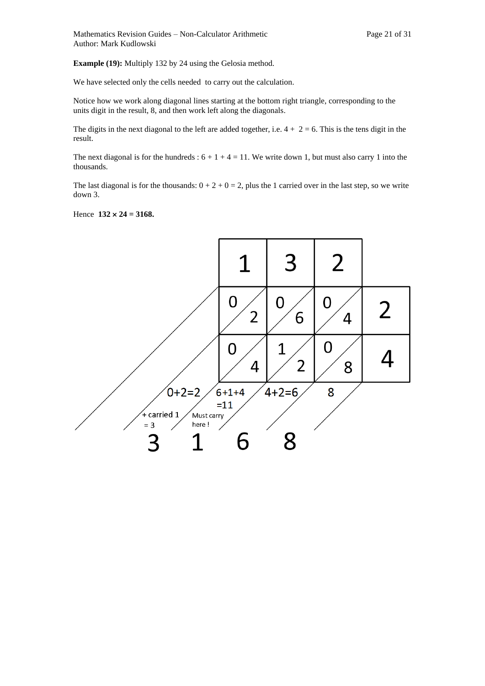**Example (19):** Multiply 132 by 24 using the Gelosia method.

We have selected only the cells needed to carry out the calculation.

Notice how we work along diagonal lines starting at the bottom right triangle, corresponding to the units digit in the result, 8, and then work left along the diagonals.

The digits in the next diagonal to the left are added together, i.e.  $4 + 2 = 6$ . This is the tens digit in the result.

The next diagonal is for the hundreds :  $6 + 1 + 4 = 11$ . We write down 1, but must also carry 1 into the thousands.

The last diagonal is for the thousands:  $0 + 2 + 0 = 2$ , plus the 1 carried over in the last step, so we write down 3.

Hence  $132 \times 24 = 3168$ .

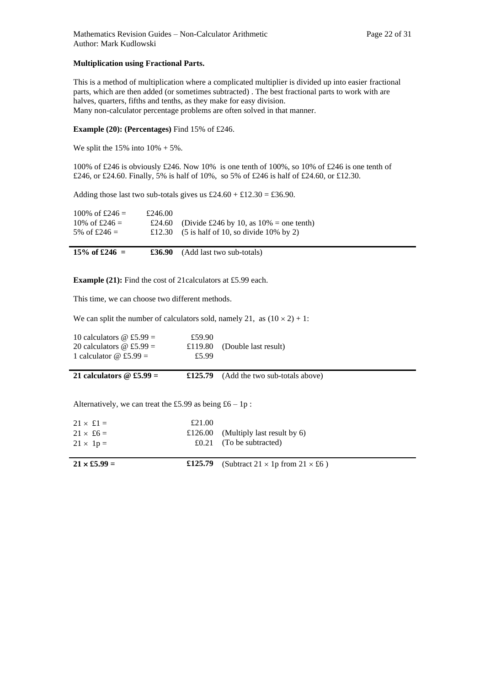#### **Multiplication using Fractional Parts.**

This is a method of multiplication where a complicated multiplier is divided up into easier fractional parts, which are then added (or sometimes subtracted) . The best fractional parts to work with are halves, quarters, fifths and tenths, as they make for easy division. Many non-calculator percentage problems are often solved in that manner.

#### **Example (20): (Percentages)** Find 15% of £246.

We split the  $15\%$  into  $10\% + 5\%$ .

100% of £246 is obviously £246. Now 10% is one tenth of 100%, so 10% of £246 is one tenth of £246, or £24.60. Finally, 5% is half of 10%, so 5% of £246 is half of £24.60, or £12.30.

Adding those last two sub-totals gives us  $£24.60 + £12.30 = £36.90$ .

| 100\% of £246 = | £246.00 |                                                                            |
|-----------------|---------|----------------------------------------------------------------------------|
| 10\% of £246 =  |         | £24.60 (Divide £246 by 10, as $10\%$ = one tenth)                          |
| 5\% of £246 =   |         | £12.30 $(5 \text{ is half of } 10, \text{ so divide } 10\% \text{ by } 2)$ |
|                 |         |                                                                            |

| 15\% of £246 = | <b>£36.90</b> (Add last two sub-totals) |  |  |
|----------------|-----------------------------------------|--|--|
|----------------|-----------------------------------------|--|--|

**Example (21):** Find the cost of 21 calculators at £5.99 each.

This time, we can choose two different methods.

We can split the number of calculators sold, namely 21, as  $(10 \times 2) + 1$ :

| 10 calculators $\omega$ £5.99 =<br>20 calculators $\omega$ £5.99 =<br>1 calculator $\omega$ £5.99 = | £59.90<br>£119.80<br>£5.99 | (Double last result)                           |
|-----------------------------------------------------------------------------------------------------|----------------------------|------------------------------------------------|
| 21 calculators $\omega$ £5.99 =                                                                     |                            | $\pounds125.79$ (Add the two sub-totals above) |

Alternatively, we can treat the £5.99 as being £6 – 1p :

| $21 \times \pounds1 =$<br>$21 \times £6 =$<br>$21 \times 1p =$ | £21.00 | £126.00 (Multiply last result by 6)<br>£0.21 (To be subtracted) |
|----------------------------------------------------------------|--------|-----------------------------------------------------------------|
|                                                                |        |                                                                 |

| $1 \times £5.99 =$ |  |
|--------------------|--|
|--------------------|--|

**21**  $\times$  **£5.99** = **£125.79** (Subtract 21  $\times$  1p from 21  $\times$  £6 )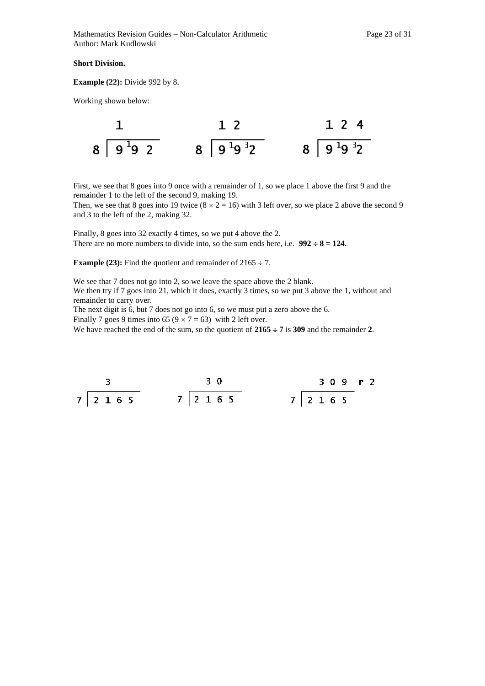#### **Short Division.**

**Example (22):** Divide 992 by 8.

Working shown below:



First, we see that 8 goes into 9 once with a remainder of 1, so we place 1 above the first 9 and the remainder 1 to the left of the second 9, making 19.

Then, we see that 8 goes into 19 twice  $(8 \times 2 = 16)$  with 3 left over, so we place 2 above the second 9 and 3 to the left of the 2, making 32.

Finally, 8 goes into 32 exactly 4 times, so we put 4 above the 2. There are no more numbers to divide into, so the sum ends here, i.e.  $992 \div 8 = 124$ .

**Example (23):** Find the quotient and remainder of  $2165 \div 7$ .

We see that 7 does not go into 2, so we leave the space above the 2 blank. We then try if 7 goes into 21, which it does, exactly 3 times, so we put 3 above the 1, without and remainder to carry over.

The next digit is 6, but 7 does not go into 6, so we must put a zero above the 6.

Finally 7 goes 9 times into 65 ( $9 \times 7 = 63$ ) with 2 left over.

We have reached the end of the sum, so the quotient of  $2165 \div 7$  is 309 and the remainder 2.

$$
\begin{array}{c|cccc}\n3 & & & 30 & & 309 & r2 \\
\hline\n7 & 2 & 1 & 6 & 5 & & 7 & 2 & 16 & 5\n\end{array}
$$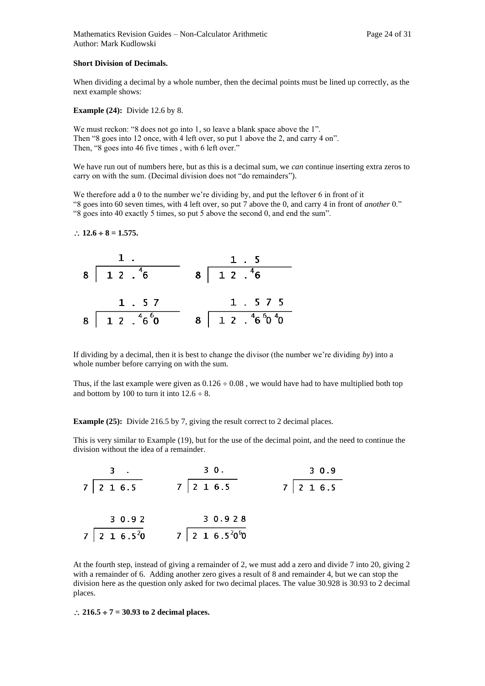Mathematics Revision Guides – Non-Calculator Arithmetic Page 24 of 31 Author: Mark Kudlowski

#### **Short Division of Decimals.**

When dividing a decimal by a whole number, then the decimal points must be lined up correctly, as the next example shows:

**Example (24):** Divide 12.6 by 8.

We must reckon: "8 does not go into 1, so leave a blank space above the 1". Then "8 goes into 12 once, with 4 left over, so put 1 above the 2, and carry 4 on". Then, "8 goes into 46 five times , with 6 left over."

We have run out of numbers here, but as this is a decimal sum, we *can* continue inserting extra zeros to carry on with the sum. (Decimal division does not "do remainders").

We therefore add a 0 to the number we're dividing by, and put the leftover 6 in front of it "8 goes into 60 seven times, with 4 left over, so put 7 above the 0, and carry 4 in front of *another* 0." "8 goes into 40 exactly 5 times, so put 5 above the second 0, and end the sum".

#### $\therefore$  12.6  $\div$  8 = 1.575.

| 1.                            | 1.5                                                           |
|-------------------------------|---------------------------------------------------------------|
| $8 \mid 12 \cdot \sqrt[4]{6}$ | $8\begin{array}{ c c } \hline 1 & 2 & .46 \end{array}$        |
| 1.57                          | 1.575                                                         |
| $8 \ 1 \ 2 \ . \ 46 \ 60$     | $8\,$ $1\,$ $2\,$ $\cdot\,$ $\,^{4}6\,$ $\,^{6}0\,$ $\,^{4}0$ |

If dividing by a decimal, then it is best to change the divisor (the number we're dividing *by*) into a whole number before carrying on with the sum.

Thus, if the last example were given as  $0.126 \div 0.08$ , we would have had to have multiplied both top and bottom by 100 to turn it into  $12.6 \div 8$ .

**Example (25):** Divide 216.5 by 7, giving the result correct to 2 decimal places.

This is very similar to Example (19), but for the use of the decimal point, and the need to continue the division without the idea of a remainder.

| 3.                           | 30.                             | 3 0.9         |
|------------------------------|---------------------------------|---------------|
| $7$   2 1 6.5                | $7$   2 1 6.5                   | $7$   2 1 6.5 |
|                              |                                 |               |
| 30.92                        | 3 0.9 2 8                       |               |
| $7$   2 1 6.5 <sup>2</sup> 0 | $7$   2 1 6.5 $^{2}$ 0 $^{6}$ 0 |               |

At the fourth step, instead of giving a remainder of 2, we must add a zero and divide 7 into 20, giving 2 with a remainder of 6. Adding another zero gives a result of 8 and remainder 4, but we can stop the division here as the question only asked for two decimal places. The value 30.928 is 30.93 to 2 decimal places.

#### $\therefore$  216.5  $\div$  7 = 30.93 to 2 decimal places.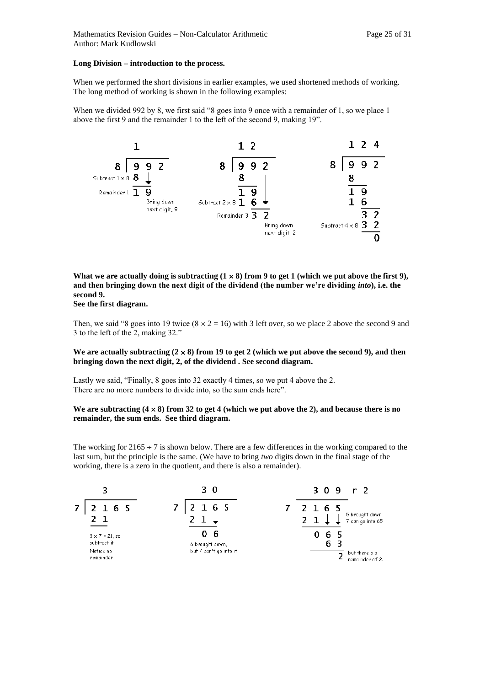#### **Long Division – introduction to the process.**

When we performed the short divisions in earlier examples, we used shortened methods of working. The long method of working is shown in the following examples:

When we divided 992 by 8, we first said "8 goes into 9 once with a remainder of 1, so we place 1 above the first 9 and the remainder 1 to the left of the second 9, making 19".



What we are actually doing is subtracting  $(1 \times 8)$  from 9 to get 1 (which we put above the first 9), **and then bringing down the next digit of the dividend (the number we're dividing** *into***), i.e. the second 9.**

**See the first diagram.** 

Then, we said "8 goes into 19 twice  $(8 \times 2 = 16)$  with 3 left over, so we place 2 above the second 9 and 3 to the left of the 2, making 32."

#### We are actually subtracting  $(2 \times 8)$  from 19 to get 2 (which we put above the second 9), and then **bringing down the next digit, 2, of the dividend . See second diagram.**

Lastly we said, "Finally, 8 goes into 32 exactly 4 times, so we put 4 above the 2. There are no more numbers to divide into, so the sum ends here".

#### We are subtracting  $(4 \times 8)$  from 32 to get 4 (which we put above the 2), and because there is no **remainder, the sum ends. See third diagram.**

The working for  $2165 \div 7$  is shown below. There are a few differences in the working compared to the last sum, but the principle is the same. (We have to bring *two* digits down in the final stage of the working, there is a zero in the quotient, and there is also a remainder).

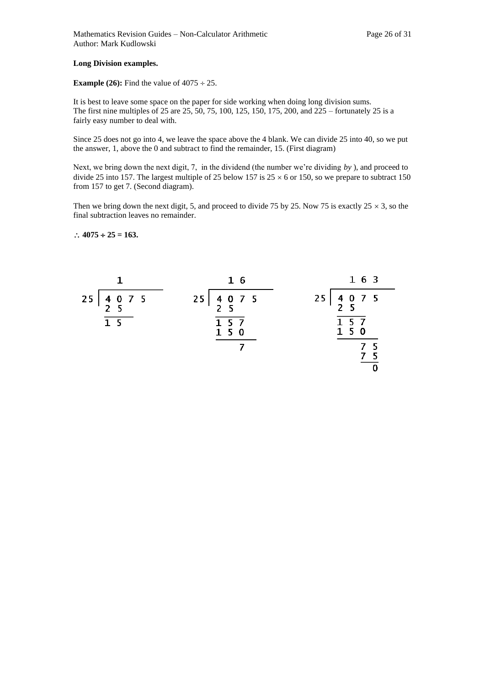#### **Long Division examples.**

#### **Example (26):** Find the value of  $4075 \div 25$ .

It is best to leave some space on the paper for side working when doing long division sums. The first nine multiples of 25 are 25, 50, 75, 100, 125, 150, 175, 200, and 225 – fortunately 25 is a fairly easy number to deal with.

Since 25 does not go into 4, we leave the space above the 4 blank. We can divide 25 into 40, so we put the answer, 1, above the 0 and subtract to find the remainder, 15. (First diagram)

Next, we bring down the next digit, 7, in the dividend (the number we're dividing *by* ), and proceed to divide 25 into 157. The largest multiple of 25 below 157 is  $25 \times 6$  or 150, so we prepare to subtract 150 from 157 to get 7. (Second diagram).

Then we bring down the next digit, 5, and proceed to divide 75 by 25. Now 75 is exactly  $25 \times 3$ , so the final subtraction leaves no remainder.

#### $\therefore$  4075  $\div$  25 = 163.

|                                                                                            | 16                                                                                       | 1 6 3                                                                                  |
|--------------------------------------------------------------------------------------------|------------------------------------------------------------------------------------------|----------------------------------------------------------------------------------------|
| $\begin{array}{cccc}\n4 & 0 & 7 & 5 \\ 2 & 5 & & & \\ \end{array}$<br>25<br>1 <sub>5</sub> | $\begin{array}{cccc}\n4 & 0 & 7 & 5 \\ 2 & 5 & & & \\ \end{array}$<br>25<br>1 5 7<br>150 | $\begin{array}{cccc}\n4 & 0 & 7 & 5 \\ 2 & 5 & & & \\ \end{array}$<br>25<br>157<br>150 |
|                                                                                            |                                                                                          |                                                                                        |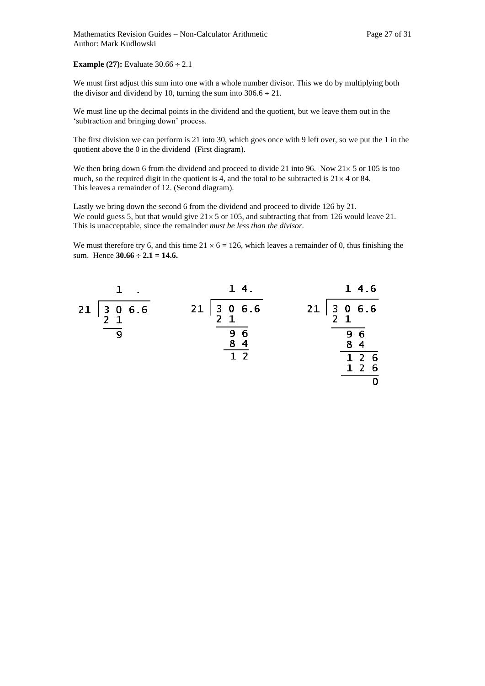#### **Example (27):** Evaluate  $30.66 \div 2.1$

We must first adjust this sum into one with a whole number divisor. This we do by multiplying both the divisor and dividend by 10, turning the sum into  $306.6 \div 21$ .

We must line up the decimal points in the dividend and the quotient, but we leave them out in the 'subtraction and bringing down' process.

The first division we can perform is 21 into 30, which goes once with 9 left over, so we put the 1 in the quotient above the 0 in the dividend (First diagram).

We then bring down 6 from the dividend and proceed to divide 21 into 96. Now  $21 \times 5$  or 105 is too much, so the required digit in the quotient is 4, and the total to be subtracted is  $21 \times 4$  or 84. This leaves a remainder of 12. (Second diagram).

Lastly we bring down the second 6 from the dividend and proceed to divide 126 by 21. We could guess 5, but that would give  $21 \times 5$  or 105, and subtracting that from 126 would leave 21. This is unacceptable, since the remainder *must be less than the divisor.*

We must therefore try 6, and this time  $21 \times 6 = 126$ , which leaves a remainder of 0, thus finishing the sum. Hence  $30.66 \div 2.1 = 14.6$ .

| 14.                                                                  | 14.6                                                             |
|----------------------------------------------------------------------|------------------------------------------------------------------|
| $\begin{array}{ c c } 3 & 0 & 6.6 \\ 2 & 1 & 0 \\ \end{array}$<br>21 | $\begin{array}{cc} 3 & 0 & 6.6 \\ 2 & 1 & 0 \end{array}$<br>$21$ |
| 96<br>8 <sub>4</sub>                                                 | 96<br>8<br>$\overline{\mathbf{4}}$                               |
|                                                                      | 1 <sub>2</sub><br>- 6<br>1 <sub>2</sub><br>-6                    |
|                                                                      | 1 <sub>2</sub>                                                   |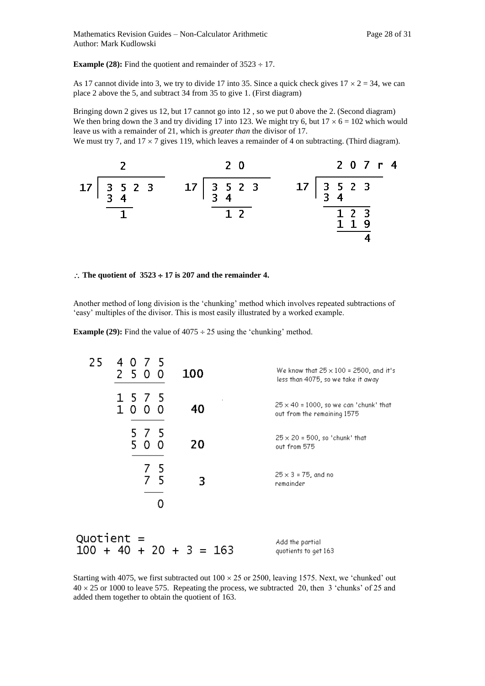**Example (28):** Find the quotient and remainder of  $3523 \div 17$ .

As 17 cannot divide into 3, we try to divide 17 into 35. Since a quick check gives  $17 \times 2 = 34$ , we can place 2 above the 5, and subtract 34 from 35 to give 1. (First diagram)

Bringing down 2 gives us 12, but 17 cannot go into 12 , so we put 0 above the 2. (Second diagram) We then bring down the 3 and try dividing 17 into 123. We might try 6, but  $17 \times 6 = 102$  which would leave us with a remainder of 21, which is *greater than* the divisor of 17.

We must try 7, and  $17 \times 7$  gives 119, which leaves a remainder of 4 on subtracting. (Third diagram).



#### $\therefore$  The quotient of  $3523 \div 17$  is 207 and the remainder 4.

Another method of long division is the 'chunking' method which involves repeated subtractions of 'easy' multiples of the divisor. This is most easily illustrated by a worked example.

**Example (29):** Find the value of  $4075 \div 25$  using the 'chunking' method.



Starting with 4075, we first subtracted out  $100 \times 25$  or 2500, leaving 1575. Next, we 'chunked' out  $40 \times 25$  or 1000 to leave 575. Repeating the process, we subtracted 20, then 3 'chunks' of 25 and added them together to obtain the quotient of 163.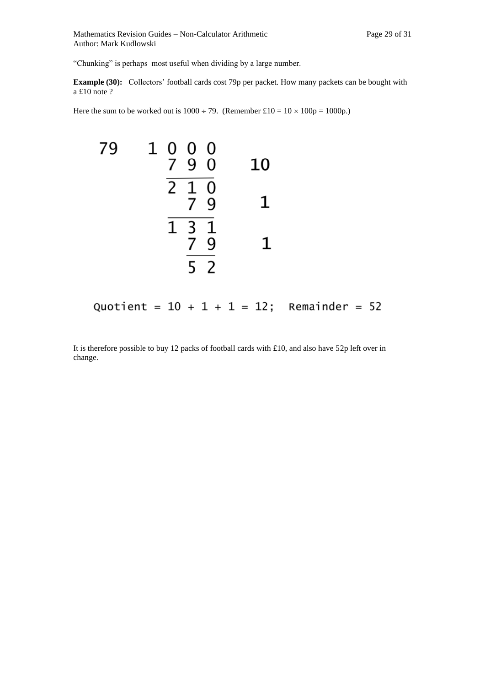"Chunking" is perhaps most useful when dividing by a large number.

**Example (30):** Collectors' football cards cost 79p per packet. How many packets can be bought with a £10 note ?

Here the sum to be worked out is  $1000 \div 79$ . (Remember £10 =  $10 \times 100p = 1000p$ .)



Quotient =  $10 + 1 + 1 = 12$ ; Remainder = 52

It is therefore possible to buy 12 packs of football cards with £10, and also have 52p left over in change.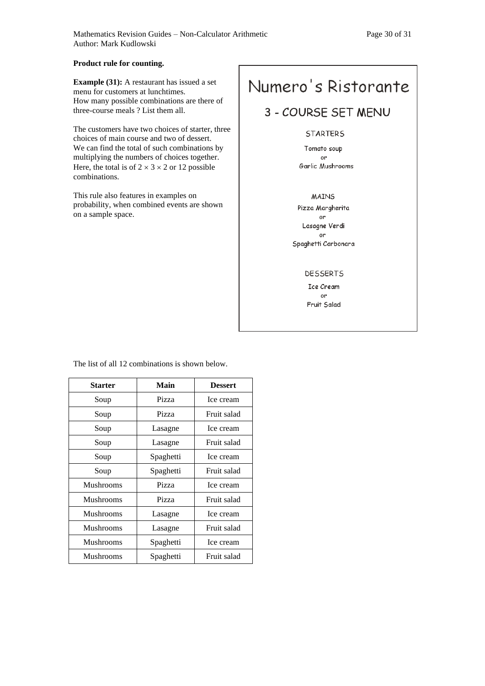#### **Product rule for counting.**

**Example (31):** A restaurant has issued a set menu for customers at lunchtimes. How many possible combinations are there of three-course meals ? List them all.

The customers have two choices of starter, three choices of main course and two of dessert. We can find the total of such combinations by multiplying the numbers of choices together. Here, the total is of  $2 \times 3 \times 2$  or 12 possible combinations.

This rule also features in examples on probability, when combined events are shown on a sample space.

# Numero's Ristorante

## 3 - COURSE SET MENU

#### **STARTERS**

Tomato soup or Garlic Mushrooms

**MAINS** Pizza Margherita or Lasagne Verdi or Spaghetti Carbonara

#### **DESSERTS**

Ice Cream or Fruit Salad

| Starter          | Main      | <b>Dessert</b> |  |
|------------------|-----------|----------------|--|
| Soup             | Pizza     | Ice cream      |  |
| Soup             | Pizza     | Fruit salad    |  |
| Soup             | Lasagne   | Ice cream      |  |
| Soup             | Lasagne   | Fruit salad    |  |
| Soup             | Spaghetti | Ice cream      |  |
| Soup             | Spaghetti | Fruit salad    |  |
| Mushrooms        | Pizza     | Ice cream      |  |
| <b>Mushrooms</b> | Pizza     | Fruit salad    |  |
| Mushrooms        | Lasagne   | Ice cream      |  |
| <b>Mushrooms</b> | Lasagne   | Fruit salad    |  |
| Mushrooms        | Spaghetti | Ice cream      |  |
| <b>Mushrooms</b> | Spaghetti | Fruit salad    |  |

The list of all 12 combinations is shown below.